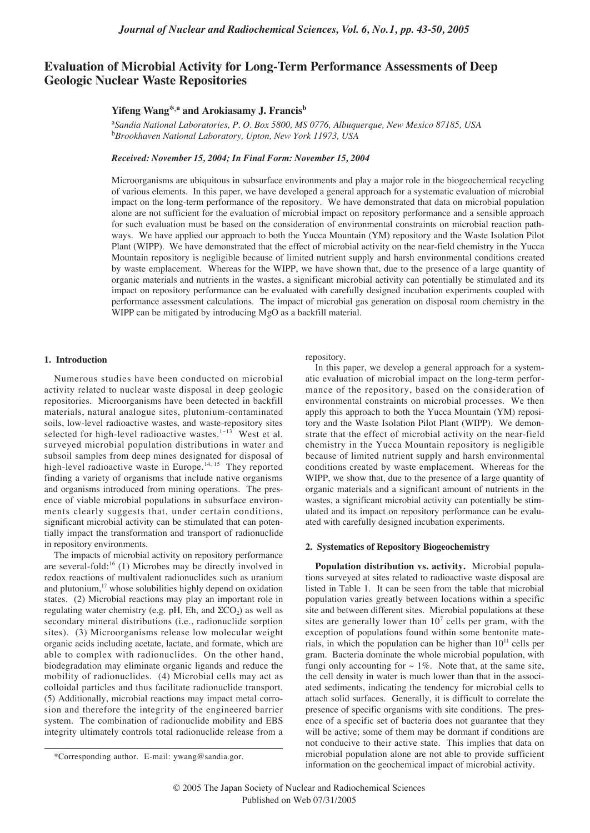# **Evaluation of Microbial Activity for Long-Term Performance Assessments of Deep Geologic Nuclear Waste Repositories**

# **Yifeng Wang\*,a and Arokiasamy J. Francisb**

a *Sandia National Laboratories, P. O. Box 5800, MS 0776, Albuquerque, New Mexico 87185, USA* b *Brookhaven National Laboratory, Upton, New York 11973, USA*

## *Received: November 15, 2004; In Final Form: November 15, 2004*

Microorganisms are ubiquitous in subsurface environments and play a major role in the biogeochemical recycling of various elements. In this paper, we have developed a general approach for a systematic evaluation of microbial impact on the long-term performance of the repository. We have demonstrated that data on microbial population alone are not sufficient for the evaluation of microbial impact on repository performance and a sensible approach for such evaluation must be based on the consideration of environmental constraints on microbial reaction pathways. We have applied our approach to both the Yucca Mountain (YM) repository and the Waste Isolation Pilot Plant (WIPP). We have demonstrated that the effect of microbial activity on the near-field chemistry in the Yucca Mountain repository is negligible because of limited nutrient supply and harsh environmental conditions created by waste emplacement. Whereas for the WIPP, we have shown that, due to the presence of a large quantity of organic materials and nutrients in the wastes, a significant microbial activity can potentially be stimulated and its impact on repository performance can be evaluated with carefully designed incubation experiments coupled with performance assessment calculations. The impact of microbial gas generation on disposal room chemistry in the WIPP can be mitigated by introducing MgO as a backfill material.

## **1. Introduction**

Numerous studies have been conducted on microbial activity related to nuclear waste disposal in deep geologic repositories. Microorganisms have been detected in backfill materials, natural analogue sites, plutonium-contaminated soils, low-level radioactive wastes, and waste-repository sites selected for high-level radioactive wastes.<sup>1-13</sup> West et al. surveyed microbial population distributions in water and subsoil samples from deep mines designated for disposal of high-level radioactive waste in Europe.<sup>14, 15</sup> They reported finding a variety of organisms that include native organisms and organisms introduced from mining operations. The presence of viable microbial populations in subsurface environments clearly suggests that, under certain conditions, significant microbial activity can be stimulated that can potentially impact the transformation and transport of radionuclide in repository environments.

The impacts of microbial activity on repository performance are several-fold:<sup>16</sup> (1) Microbes may be directly involved in redox reactions of multivalent radionuclides such as uranium and plutonium,<sup>17</sup> whose solubilities highly depend on oxidation states. (2) Microbial reactions may play an important role in regulating water chemistry (e.g. pH, Eh, and  $\Sigma CO<sub>2</sub>$ ) as well as secondary mineral distributions (i.e., radionuclide sorption sites). (3) Microorganisms release low molecular weight organic acids including acetate, lactate, and formate, which are able to complex with radionuclides. On the other hand, biodegradation may eliminate organic ligands and reduce the mobility of radionuclides. (4) Microbial cells may act as colloidal particles and thus facilitate radionuclide transport. (5) Additionally, microbial reactions may impact metal corrosion and therefore the integrity of the engineered barrier system. The combination of radionuclide mobility and EBS integrity ultimately controls total radionuclide release from a

repository.

In this paper, we develop a general approach for a systematic evaluation of microbial impact on the long-term performance of the repository, based on the consideration of environmental constraints on microbial processes. We then apply this approach to both the Yucca Mountain (YM) repository and the Waste Isolation Pilot Plant (WIPP). We demonstrate that the effect of microbial activity on the near-field chemistry in the Yucca Mountain repository is negligible because of limited nutrient supply and harsh environmental conditions created by waste emplacement. Whereas for the WIPP, we show that, due to the presence of a large quantity of organic materials and a significant amount of nutrients in the wastes, a significant microbial activity can potentially be stimulated and its impact on repository performance can be evaluated with carefully designed incubation experiments.

#### **2. Systematics of Repository Biogeochemistry**

**Population distribution vs. activity.** Microbial populations surveyed at sites related to radioactive waste disposal are listed in Table 1. It can be seen from the table that microbial population varies greatly between locations within a specific site and between different sites. Microbial populations at these sites are generally lower than  $10<sup>7</sup>$  cells per gram, with the exception of populations found within some bentonite materials, in which the population can be higher than  $10<sup>11</sup>$  cells per gram. Bacteria dominate the whole microbial population, with fungi only accounting for  $\sim 1\%$ . Note that, at the same site, the cell density in water is much lower than that in the associated sediments, indicating the tendency for microbial cells to attach solid surfaces. Generally, it is difficult to correlate the presence of specific organisms with site conditions. The presence of a specific set of bacteria does not guarantee that they will be active; some of them may be dormant if conditions are not conducive to their active state. This implies that data on microbial population alone are not able to provide sufficient information on the geochemical impact of microbial activity.

<sup>\*</sup>Corresponding author. E-mail: ywang@sandia.gor.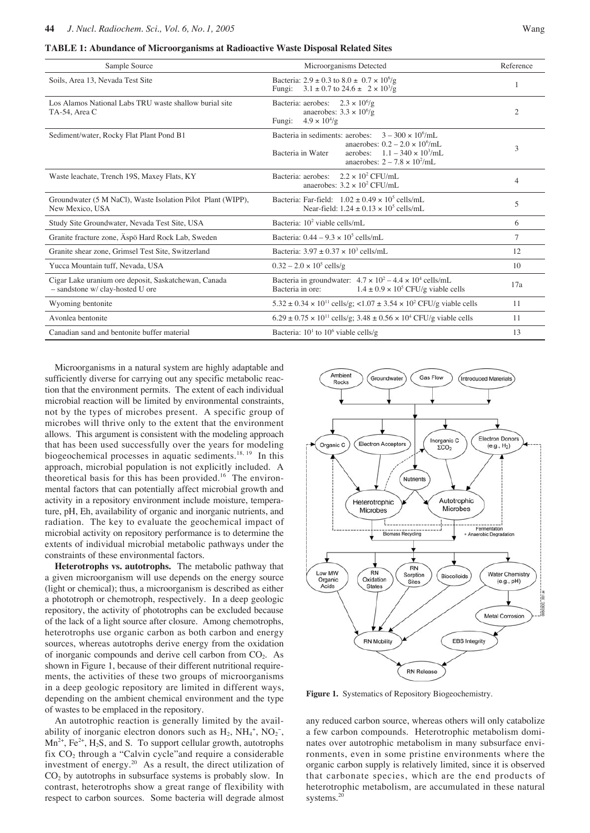**TABLE 1: Abundance of Microorganisms at Radioactive Waste Disposal Related Sites**

| Sample Source                                                                            | Microorganisms Detected                                                                                                                                                                                  | Reference      |
|------------------------------------------------------------------------------------------|----------------------------------------------------------------------------------------------------------------------------------------------------------------------------------------------------------|----------------|
| Soils, Area 13, Nevada Test Site                                                         | Bacteria: $2.9 \pm 0.3$ to $8.0 \pm 0.7 \times 10^6$ /g<br>$3.1 \pm 0.7$ to $24.6 \pm 2 \times 10^{3}/g$<br>Fungi:                                                                                       |                |
| Los Alamos National Labs TRU waste shallow burial site<br>TA-54, Area C                  | Bacteria: aerobes: $2.3 \times 10^6/g$<br>anaerobes: $3.3 \times 10^6$ /g<br>$4.9 \times 10^{4}/g$<br>Fungi:                                                                                             | $\mathfrak{2}$ |
| Sediment/water, Rocky Flat Plant Pond B1                                                 | Bacteria in sediments: aerobes: $3 - 300 \times 10^6$ /mL<br>anaerobes: $0.2 - 2.0 \times 10^6$ /mL<br>aerobes: $1.1 - 340 \times 10^3$ /mL<br>Bacteria in Water<br>anaerobes: $2 - 7.8 \times 10^2$ /mL | 3              |
| Waste leachate, Trench 19S, Maxey Flats, KY                                              | Bacteria: aerobes: $2.2 \times 10^2$ CFU/mL<br>anaerobes: $3.2 \times 10^2$ CFU/mL                                                                                                                       | 4              |
| Groundwater (5 M NaCl), Waste Isolation Pilot Plant (WIPP),<br>New Mexico, USA           | Bacteria: Far-field: $1.02 + 0.49 \times 10^5$ cells/mL<br>Near-field: $1.24 + 0.13 \times 10^5$ cells/mL                                                                                                | 5              |
| Study Site Groundwater, Nevada Test Site, USA                                            | Bacteria: $10^2$ viable cells/mL                                                                                                                                                                         | 6              |
| Granite fracture zone, Äspö Hard Rock Lab, Sweden                                        | Bacteria: $0.44 - 9.3 \times 10^5$ cells/mL                                                                                                                                                              | 7              |
| Granite shear zone, Grimsel Test Site, Switzerland                                       | Bacteria: $3.97 \pm 0.37 \times 10^3$ cells/mL                                                                                                                                                           | 12             |
| Yucca Mountain tuff, Nevada, USA                                                         | $0.32 - 2.0 \times 10^5$ cells/g                                                                                                                                                                         | 10             |
| Cigar Lake uranium ore deposit, Saskatchewan, Canada<br>- sandstone w/ clay-hosted U ore | Bacteria in groundwater: $4.7 \times 10^2 - 4.4 \times 10^4$ cells/mL<br>Bacteria in ore:<br>$1.4 \pm 0.9 \times 10^5$ CFU/g viable cells                                                                | 17a            |
| Wyoming bentonite                                                                        | $5.32 \pm 0.34 \times 10^{11}$ cells/g; <1.07 $\pm 3.54 \times 10^{2}$ CFU/g viable cells                                                                                                                | 11             |
| Avonlea bentonite                                                                        | $6.29 \pm 0.75 \times 10^{11}$ cells/g; 3.48 $\pm 0.56 \times 10^{4}$ CFU/g viable cells                                                                                                                 | 11             |
| Canadian sand and bentonite buffer material                                              | Bacteria: $101$ to $106$ viable cells/g                                                                                                                                                                  | 13             |

Microorganisms in a natural system are highly adaptable and sufficiently diverse for carrying out any specific metabolic reaction that the environment permits. The extent of each individual microbial reaction will be limited by environmental constraints, not by the types of microbes present. A specific group of microbes will thrive only to the extent that the environment allows. This argument is consistent with the modeling approach that has been used successfully over the years for modeling biogeochemical processes in aquatic sediments.<sup>18, 19</sup> In this approach, microbial population is not explicitly included. A theoretical basis for this has been provided.<sup>16</sup> The environmental factors that can potentially affect microbial growth and activity in a repository environment include moisture, temperature, pH, Eh, availability of organic and inorganic nutrients, and radiation. The key to evaluate the geochemical impact of microbial activity on repository performance is to determine the extents of individual microbial metabolic pathways under the constraints of these environmental factors.

**Heterotrophs vs. autotrophs.** The metabolic pathway that a given microorganism will use depends on the energy source (light or chemical); thus, a microorganism is described as either a phototroph or chemotroph, respectively. In a deep geologic repository, the activity of phototrophs can be excluded because of the lack of a light source after closure. Among chemotrophs, heterotrophs use organic carbon as both carbon and energy sources, whereas autotrophs derive energy from the oxidation of inorganic compounds and derive cell carbon from  $CO<sub>2</sub>$ . As shown in Figure 1, because of their different nutritional requirements, the activities of these two groups of microorganisms in a deep geologic repository are limited in different ways, depending on the ambient chemical environment and the type of wastes to be emplaced in the repository.

An autotrophic reaction is generally limited by the availability of inorganic electron donors such as  $H_2$ ,  $NH_4^+$ ,  $NO_2^-$ ,  $Mn^{2+}$ , Fe<sup>2+</sup>, H<sub>2</sub>S, and S. To support cellular growth, autotrophs fix  $CO<sub>2</sub>$  through a "Calvin cycle" and require a considerable investment of energy.<sup>20</sup> As a result, the direct utilization of  $CO<sub>2</sub>$  by autotrophs in subsurface systems is probably slow. In contrast, heterotrophs show a great range of flexibility with respect to carbon sources. Some bacteria will degrade almost



**Figure 1.** Systematics of Repository Biogeochemistry.

any reduced carbon source, whereas others will only catabolize a few carbon compounds. Heterotrophic metabolism dominates over autotrophic metabolism in many subsurface environments, even in some pristine environments where the organic carbon supply is relatively limited, since it is observed that carbonate species, which are the end products of heterotrophic metabolism, are accumulated in these natural systems.<sup>20</sup>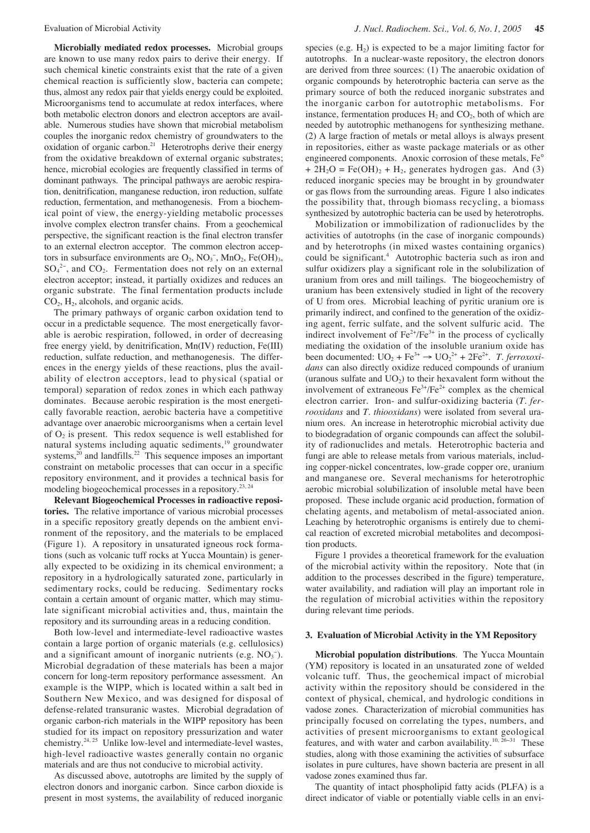**Microbially mediated redox processes.** Microbial groups are known to use many redox pairs to derive their energy. If such chemical kinetic constraints exist that the rate of a given chemical reaction is sufficiently slow, bacteria can compete; thus, almost any redox pair that yields energy could be exploited. Microorganisms tend to accumulate at redox interfaces, where both metabolic electron donors and electron acceptors are available. Numerous studies have shown that microbial metabolism couples the inorganic redox chemistry of groundwaters to the oxidation of organic carbon.<sup>21</sup> Heterotrophs derive their energy from the oxidative breakdown of external organic substrates; hence, microbial ecologies are frequently classified in terms of dominant pathways. The principal pathways are aerobic respiration, denitrification, manganese reduction, iron reduction, sulfate reduction, fermentation, and methanogenesis. From a biochemical point of view, the energy-yielding metabolic processes involve complex electron transfer chains. From a geochemical perspective, the significant reaction is the final electron transfer to an external electron acceptor. The common electron acceptors in subsurface environments are  $O_2$ ,  $NO_3^-$ ,  $MnO_2$ ,  $Fe(OH)_3$ ,  $SO_4^2$ <sup>-</sup>, and  $CO_2$ . Fermentation does not rely on an external electron acceptor; instead, it partially oxidizes and reduces an organic substrate. The final fermentation products include  $CO<sub>2</sub>$ ,  $H<sub>2</sub>$ , alcohols, and organic acids.

The primary pathways of organic carbon oxidation tend to occur in a predictable sequence. The most energetically favorable is aerobic respiration, followed, in order of decreasing free energy yield, by denitrification, Mn(IV) reduction, Fe(III) reduction, sulfate reduction, and methanogenesis. The differences in the energy yields of these reactions, plus the availability of electron acceptors, lead to physical (spatial or temporal) separation of redox zones in which each pathway dominates. Because aerobic respiration is the most energetically favorable reaction, aerobic bacteria have a competitive advantage over anaerobic microorganisms when a certain level of  $O_2$  is present. This redox sequence is well established for natural systems including aquatic sediments,<sup>19</sup> groundwater systems,<sup>20</sup> and landfills.<sup>22</sup> This sequence imposes an important constraint on metabolic processes that can occur in a specific repository environment, and it provides a technical basis for modeling biogeochemical processes in a repository.<sup>23, 24</sup>

**Relevant Biogeochemical Processes in radioactive repositories.** The relative importance of various microbial processes in a specific repository greatly depends on the ambient environment of the repository, and the materials to be emplaced (Figure 1). A repository in unsaturated igneous rock formations (such as volcanic tuff rocks at Yucca Mountain) is generally expected to be oxidizing in its chemical environment; a repository in a hydrologically saturated zone, particularly in sedimentary rocks, could be reducing. Sedimentary rocks contain a certain amount of organic matter, which may stimulate significant microbial activities and, thus, maintain the repository and its surrounding areas in a reducing condition.

Both low-level and intermediate-level radioactive wastes contain a large portion of organic materials (e.g. cellulosics) and a significant amount of inorganic nutrients (e.g.  $NO<sub>3</sub><sup>-</sup>$ ). Microbial degradation of these materials has been a major concern for long-term repository performance assessment. An example is the WIPP, which is located within a salt bed in Southern New Mexico, and was designed for disposal of defense-related transuranic wastes. Microbial degradation of organic carbon-rich materials in the WIPP repository has been studied for its impact on repository pressurization and water chemistry.24, 25 Unlike low-level and intermediate-level wastes, high-level radioactive wastes generally contain no organic materials and are thus not conducive to microbial activity.

As discussed above, autotrophs are limited by the supply of electron donors and inorganic carbon. Since carbon dioxide is present in most systems, the availability of reduced inorganic

species (e.g.  $H_2$ ) is expected to be a major limiting factor for autotrophs. In a nuclear-waste repository, the electron donors are derived from three sources: (1) The anaerobic oxidation of organic compounds by heterotrophic bacteria can serve as the primary source of both the reduced inorganic substrates and the inorganic carbon for autotrophic metabolisms. For instance, fermentation produces  $H_2$  and  $CO_2$ , both of which are needed by autotrophic methanogens for synthesizing methane. (2) A large fraction of metals or metal alloys is always present in repositories, either as waste package materials or as other engineered components. Anoxic corrosion of these metals, Fe°  $+ 2H<sub>2</sub>O = Fe(OH)<sub>2</sub> + H<sub>2</sub>$ , generates hydrogen gas. And (3) reduced inorganic species may be brought in by groundwater or gas flows from the surrounding areas. Figure 1 also indicates the possibility that, through biomass recycling, a biomass synthesized by autotrophic bacteria can be used by heterotrophs.

Mobilization or immobilization of radionuclides by the activities of autotrophs (in the case of inorganic compounds) and by heterotrophs (in mixed wastes containing organics) could be significant.<sup>4</sup> Autotrophic bacteria such as iron and sulfur oxidizers play a significant role in the solubilization of uranium from ores and mill tailings. The biogeochemistry of uranium has been extensively studied in light of the recovery of U from ores. Microbial leaching of pyritic uranium ore is primarily indirect, and confined to the generation of the oxidizing agent, ferric sulfate, and the solvent sulfuric acid. The indirect involvement of  $\text{Fe}^{2+}/\text{Fe}^{3+}$  in the process of cyclically mediating the oxidation of the insoluble uranium oxide has been documented:  $UO_2 + Fe^{3+} \rightarrow UO_2^{2+} + 2Fe^{2+}$ . *T. ferroxoxidans* can also directly oxidize reduced compounds of uranium (uranous sulfate and  $UO<sub>2</sub>$ ) to their hexavalent form without the involvement of extraneous  $Fe^{3+}/Fe^{2+}$  complex as the chemical electron carrier. Iron- and sulfur-oxidizing bacteria (*T. ferrooxidans* and *T. thiooxidans*) were isolated from several uranium ores. An increase in heterotrophic microbial activity due to biodegradation of organic compounds can affect the solubility of radionuclides and metals. Heterotrophic bacteria and fungi are able to release metals from various materials, including copper-nickel concentrates, low-grade copper ore, uranium and manganese ore. Several mechanisms for heterotrophic aerobic microbial solubilization of insoluble metal have been proposed. These include organic acid production, formation of chelating agents, and metabolism of metal-associated anion. Leaching by heterotrophic organisms is entirely due to chemical reaction of excreted microbial metabolites and decomposition products.

Figure 1 provides a theoretical framework for the evaluation of the microbial activity within the repository. Note that (in addition to the processes described in the figure) temperature, water availability, and radiation will play an important role in the regulation of microbial activities within the repository during relevant time periods.

# **3. Evaluation of Microbial Activity in the YM Repository**

**Microbial population distributions**. The Yucca Mountain (YM) repository is located in an unsaturated zone of welded volcanic tuff. Thus, the geochemical impact of microbial activity within the repository should be considered in the context of physical, chemical, and hydrologic conditions in vadose zones. Characterization of microbial communities has principally focused on correlating the types, numbers, and activities of present microorganisms to extant geological features, and with water and carbon availability.10, 26−<sup>31</sup> These studies, along with those examining the activities of subsurface isolates in pure cultures, have shown bacteria are present in all vadose zones examined thus far.

The quantity of intact phospholipid fatty acids (PLFA) is a direct indicator of viable or potentially viable cells in an envi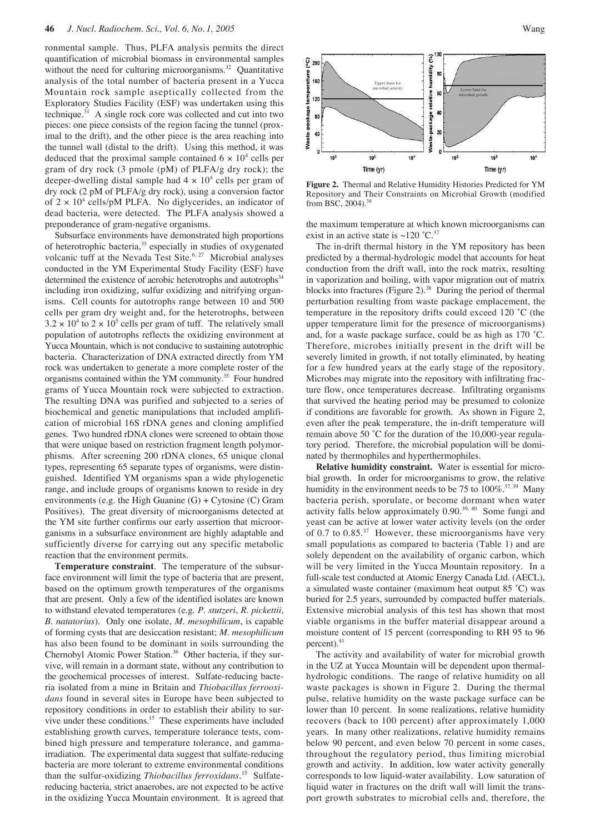ronmental sample. Thus, PLFA analysis permits the direct quantification of microbial biomass in environmental samples without the need for culturing microorganisms.<sup>32</sup> Quantitative analysis of the total number of bacteria present in a Yucca Mountain rock sample aseptically collected from the Exploratory Studies Facility (ESF) was undertaken using this technique. $31$  A single rock core was collected and cut into two pieces: one piece consists of the region facing the tunnel (proximal to the drift), and the other piece is the area reaching into the tunnel wall (distal to the drift). Using this method, it was deduced that the proximal sample contained  $6 \times 10^4$  cells per gram of dry rock (3 pmole (pM) of PLFA/g dry rock); the deeper-dwelling distal sample had  $4 \times 10^4$  cells per gram of dry rock (2 pM of PLFA/g dry rock), using a conversion factor of  $2 \times 10^4$  cells/pM PLFA. No diglycerides, an indicator of dead bacteria, were detected. The PLFA analysis showed a preponderance of gram-negative organisms.

Subsurface environments have demonstrated high proportions of heterotrophic bacteria,<sup>33</sup> especially in studies of oxygenated volcanic tuff at the Nevada Test Site.<sup>6, 27</sup> Microbial analyses conducted in the YM Experimental Study Facility (ESF) have determined the existence of aerobic heterotrophs and autotrophs<sup>34</sup> including iron oxidizing, sulfur oxidizing and nitrifying organisms. Cell counts for autotrophs range between 10 and 500 cells per gram dry weight and, for the heterotrophs, between  $3.2 \times 10^4$  to  $2 \times 10^5$  cells per gram of tuff. The relatively small population of autotrophs reflects the oxidizing environment at Yucca Mountain, which is not conducive to sustaining autotrophic bacteria. Characterization of DNA extracted directly from YM rock was undertaken to generate a more complete roster of the organisms contained within the YM community.<sup>35</sup> Four hundred grams of Yucca Mountain rock were subjected to extraction. The resulting DNA was purified and subjected to a series of biochemical and genetic manipulations that included amplification of microbial 16S rDNA genes and cloning amplified genes. Two hundred rDNA clones were screened to obtain those that were unique based on restriction fragment length polymorphisms. After screening 200 rDNA clones, 65 unique clonal types, representing 65 separate types of organisms, were distinguished. Identified YM organisms span a wide phylogenetic range, and include groups of organisms known to reside in dry environments (e.g. the High Guanine  $(G)$  + Cytosine  $(C)$  Gram Positives). The great diversity of microorganisms detected at the YM site further confirms our early assertion that microorganisms in a subsurface environment are highly adaptable and sufficiently diverse for carrying out any specific metabolic reaction that the environment permits.

**Temperature constraint**. The temperature of the subsurface environment will limit the type of bacteria that are present, based on the optimum growth temperatures of the organisms that are present. Only a few of the identified isolates are known to withstand elevated temperatures (e.g. *P. stutzeri*, *R. pickettii*, *B. natatorius*). Only one isolate, *M. mesophilicum*, is capable of forming cysts that are desiccation resistant; *M. mesophilicum* has also been found to be dominant in soils surrounding the Chernobyl Atomic Power Station.<sup>36</sup> Other bacteria, if they survive, will remain in a dormant state, without any contribution to the geochemical processes of interest. Sulfate-reducing bacteria isolated from a mine in Britain and *Thiobacillus ferrooxidans* found in several sites in Europe have been subjected to repository conditions in order to establish their ability to survive under these conditions.<sup>15</sup> These experiments have included establishing growth curves, temperature tolerance tests, combined high pressure and temperature tolerance, and gammairradiation. The experimental data suggest that sulfate-reducing bacteria are more tolerant to extreme environmental conditions than the sulfur-oxidizing *Thiobacillus ferroxidans*. <sup>15</sup> Sulfatereducing bacteria, strict anaerobes, are not expected to be active in the oxidizing Yucca Mountain environment. It is agreed that



**Figure 2.** Thermal and Relative Humidity Histories Predicted for YM Repository and Their Constraints on Microbial Growth (modified from BSC, 2004).<sup>38</sup>

the maximum temperature at which known microorganisms can exist in an active state is  $\sim$ 120 °C.<sup>37</sup>

The in-drift thermal history in the YM repository has been predicted by a thermal-hydrologic model that accounts for heat conduction from the drift wall, into the rock matrix, resulting in vaporization and boiling, with vapor migration out of matrix blocks into fractures (Figure 2). $38$  During the period of thermal perturbation resulting from waste package emplacement, the temperature in the repository drifts could exceed 120 ˚C (the upper temperature limit for the presence of microorganisms) and, for a waste package surface, could be as high as 170 ˚C. Therefore, microbes initially present in the drift will be severely limited in growth, if not totally eliminated, by heating for a few hundred years at the early stage of the repository. Microbes may migrate into the repository with infiltrating fracture flow, once temperatures decrease. Infiltrating organisms that survived the heating period may be presumed to colonize if conditions are favorable for growth. As shown in Figure 2, even after the peak temperature, the in-drift temperature will remain above 50 ˚C for the duration of the 10,000-year regulatory period. Therefore, the microbial population will be dominated by thermophiles and hyperthermophiles.

**Relative humidity constraint.** Water is essential for microbial growth. In order for microorganisms to grow, the relative humidity in the environment needs to be 75 to  $100\%$ <sup>37, 39</sup> Many bacteria perish, sporulate, or become dormant when water activity falls below approximately  $0.90.^{39, 40}$  Some fungi and yeast can be active at lower water activity levels (on the order of 0.7 to  $0.85^{37}$  However, these microorganisms have very small populations as compared to bacteria (Table 1) and are solely dependent on the availability of organic carbon, which will be very limited in the Yucca Mountain repository. In a full-scale test conducted at Atomic Energy Canada Ltd. (AECL), a simulated waste container (maximum heat output 85 ˚C) was buried for 2.5 years, surrounded by compacted buffer materials. Extensive microbial analysis of this test has shown that most viable organisms in the buffer material disappear around a moisture content of 15 percent (corresponding to RH 95 to 96 percent).<sup>41</sup>

The activity and availability of water for microbial growth in the UZ at Yucca Mountain will be dependent upon thermalhydrologic conditions. The range of relative humidity on all waste packages is shown in Figure 2. During the thermal pulse, relative humidity on the waste package surface can be lower than 10 percent. In some realizations, relative humidity recovers (back to 100 percent) after approximately 1,000 years. In many other realizations, relative humidity remains below 90 percent, and even below 70 percent in some cases, throughout the regulatory period, thus limiting microbial growth and activity. In addition, low water activity generally corresponds to low liquid-water availability. Low saturation of liquid water in fractures on the drift wall will limit the transport growth substrates to microbial cells and, therefore, the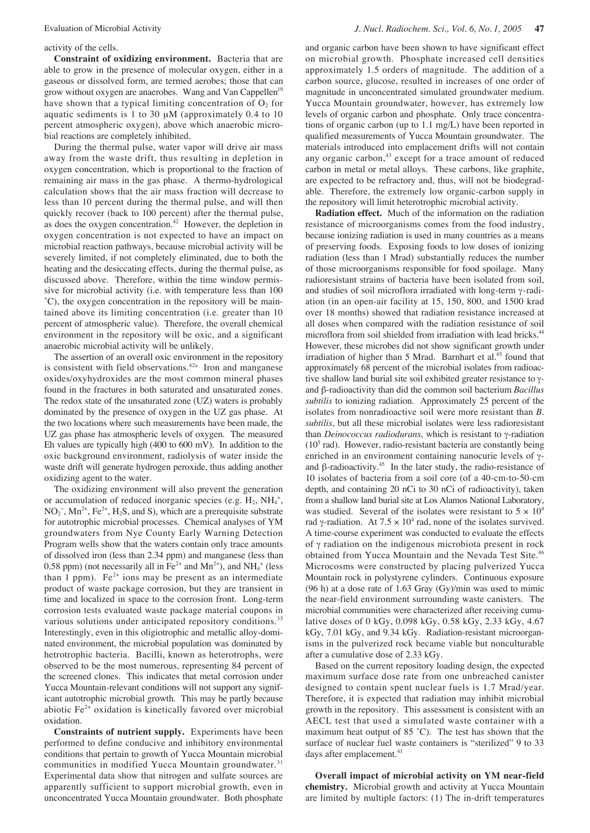#### activity of the cells.

**Constraint of oxidizing environment.** Bacteria that are able to grow in the presence of molecular oxygen, either in a gaseous or dissolved form, are termed aerobes; those that can grow without oxygen are anaerobes. Wang and Van Cappellen<sup>19</sup> have shown that a typical limiting concentration of  $O<sub>2</sub>$  for aquatic sediments is 1 to 30 µM (approximately 0.4 to 10 percent atmospheric oxygen), above which anaerobic microbial reactions are completely inhibited.

During the thermal pulse, water vapor will drive air mass away from the waste drift, thus resulting in depletion in oxygen concentration, which is proportional to the fraction of remaining air mass in the gas phase. A thermo-hydrological calculation shows that the air mass fraction will decrease to less than 10 percent during the thermal pulse, and will then quickly recover (back to 100 percent) after the thermal pulse, as does the oxygen concentration.<sup>42</sup> However, the depletion in oxygen concentration is not expected to have an impact on microbial reaction pathways, because microbial activity will be severely limited, if not completely eliminated, due to both the heating and the desiccating effects, during the thermal pulse, as discussed above. Therefore, within the time window permissive for microbial activity (i.e. with temperature less than 100 ˚C), the oxygen concentration in the repository will be maintained above its limiting concentration (i.e. greater than 10 percent of atmospheric value). Therefore, the overall chemical environment in the repository will be oxic, and a significant anaerobic microbial activity will be unlikely.

The assertion of an overall oxic environment in the repository is consistent with field observations.<sup>42a</sup> Iron and manganese oxides/oxyhydroxides are the most common mineral phases found in the fractures in both saturated and unsaturated zones. The redox state of the unsaturated zone (UZ) waters is probably dominated by the presence of oxygen in the UZ gas phase. At the two locations where such measurements have been made, the UZ gas phase has atmospheric levels of oxygen. The measured Eh values are typically high (400 to 600 mV). In addition to the oxic background environment, radiolysis of water inside the waste drift will generate hydrogen peroxide, thus adding another oxidizing agent to the water.

The oxidizing environment will also prevent the generation or accumulation of reduced inorganic species (e.g.  $H_2$ , NH<sub>4</sub><sup>+</sup>,  $NO<sub>2</sub><sup>-</sup>, Mn<sup>2+</sup>, Fe<sup>2+</sup>, H<sub>2</sub>S, and S), which are a prerequisite substrate$ for autotrophic microbial processes. Chemical analyses of YM groundwaters from Nye County Early Warning Detection Program wells show that the waters contain only trace amounts of dissolved iron (less than 2.34 ppm) and manganese (less than 0.58 ppm) (not necessarily all in  $Fe^{2+}$  and  $Mn^{2+}$ ), and  $NH_4^+$  (less than 1 ppm).  $Fe<sup>2+</sup>$  ions may be present as an intermediate product of waste package corrosion, but they are transient in time and localized in space to the corrosion front. Long-term corrosion tests evaluated waste package material coupons in various solutions under anticipated repository conditions.<sup>35</sup> Interestingly, even in this oligiotrophic and metallic alloy-dominated environment, the microbial population was dominated by hetrotrophic bacteria. Bacilli, known as heterotrophs, were observed to be the most numerous, representing 84 percent of the screened clones. This indicates that metal corrosion under Yucca Mountain-relevant conditions will not support any significant autotrophic microbial growth. This may be partly because abiotic  $Fe<sup>2+</sup>$  oxidation is kinetically favored over microbial oxidation.

**Constraints of nutrient supply.** Experiments have been performed to define conducive and inhibitory environmental conditions that pertain to growth of Yucca Mountain microbial communities in modified Yucca Mountain groundwater.<sup>31</sup> Experimental data show that nitrogen and sulfate sources are apparently sufficient to support microbial growth, even in unconcentrated Yucca Mountain groundwater. Both phosphate and organic carbon have been shown to have significant effect on microbial growth. Phosphate increased cell densities approximately 1.5 orders of magnitude. The addition of a carbon source, glucose, resulted in increases of one order of magnitude in unconcentrated simulated groundwater medium. Yucca Mountain groundwater, however, has extremely low levels of organic carbon and phosphate. Only trace concentrations of organic carbon (up to 1.1 mg/L) have been reported in qualified measurements of Yucca Mountain groundwater. The materials introduced into emplacement drifts will not contain any organic carbon, $43$  except for a trace amount of reduced carbon in metal or metal alloys. These carbons, like graphite, are expected to be refractory and, thus, will not be biodegradable. Therefore, the extremely low organic-carbon supply in the repository will limit heterotrophic microbial activity.

**Radiation effect.** Much of the information on the radiation resistance of microorganisms comes from the food industry, because ionizing radiation is used in many countries as a means of preserving foods. Exposing foods to low doses of ionizing radiation (less than 1 Mrad) substantially reduces the number of those microorganisms responsible for food spoilage. Many radioresistant strains of bacteria have been isolated from soil, and studies of soil microflora irradiated with long-term γ-radiation (in an open-air facility at 15, 150, 800, and 1500 krad over 18 months) showed that radiation resistance increased at all doses when compared with the radiation resistance of soil microflora from soil shielded from irradiation with lead bricks.<sup>44</sup> However, these microbes did not show significant growth under irradiation of higher than 5 Mrad. Barnhart et al.<sup>45</sup> found that approximately 68 percent of the microbial isolates from radioactive shallow land burial site soil exhibited greater resistance to γand β-radioactivity than did the common soil bacterium *Bacillus subtilis* to ionizing radiation. Approximately 25 percent of the isolates from nonradioactive soil were more resistant than *B. subtilis*, but all these microbial isolates were less radioresistant than *Deinococcus radiodurans*, which is resistant to γ-radiation  $(10<sup>5</sup>$  rad). However, radio-resistant bacteria are constantly being enriched in an environment containing nanocurie levels of γand β-radioactivity.<sup>45</sup> In the later study, the radio-resistance of 10 isolates of bacteria from a soil core (of a 40-cm-to-50-cm depth, and containing 20 nCi to 30 nCi of radioactivity), taken from a shallow land burial site at Los Alamos National Laboratory, was studied. Several of the isolates were resistant to  $5 \times 10^4$ rad γ-radiation. At  $7.5 \times 10^4$  rad, none of the isolates survived. A time-course experiment was conducted to evaluate the effects of γ radiation on the indigenous microbiota present in rock obtained from Yucca Mountain and the Nevada Test Site.<sup>46</sup> Microcosms were constructed by placing pulverized Yucca Mountain rock in polystyrene cylinders. Continuous exposure (96 h) at a dose rate of 1.63 Gray (Gy)/min was used to mimic the near-field environment surrounding waste canisters. The microbial communities were characterized after receiving cumulative doses of 0 kGy, 0.098 kGy, 0.58 kGy, 2.33 kGy, 4.67 kGy, 7.01 kGy, and 9.34 kGy. Radiation-resistant microorganisms in the pulverized rock became viable but nonculturable after a cumulative dose of 2.33 kGy.

Based on the current repository loading design, the expected maximum surface dose rate from one unbreached canister designed to contain spent nuclear fuels is 1.7 Mrad/year. Therefore, it is expected that radiation may inhibit microbial growth in the repository. This assessment is consistent with an AECL test that used a simulated waste container with a maximum heat output of 85 ˚C). The test has shown that the surface of nuclear fuel waste containers is "sterilized" 9 to 33 days after emplacement.  $\!41}$ 

**Overall impact of microbial activity on YM near-field chemistry.** Microbial growth and activity at Yucca Mountain are limited by multiple factors: (1) The in-drift temperatures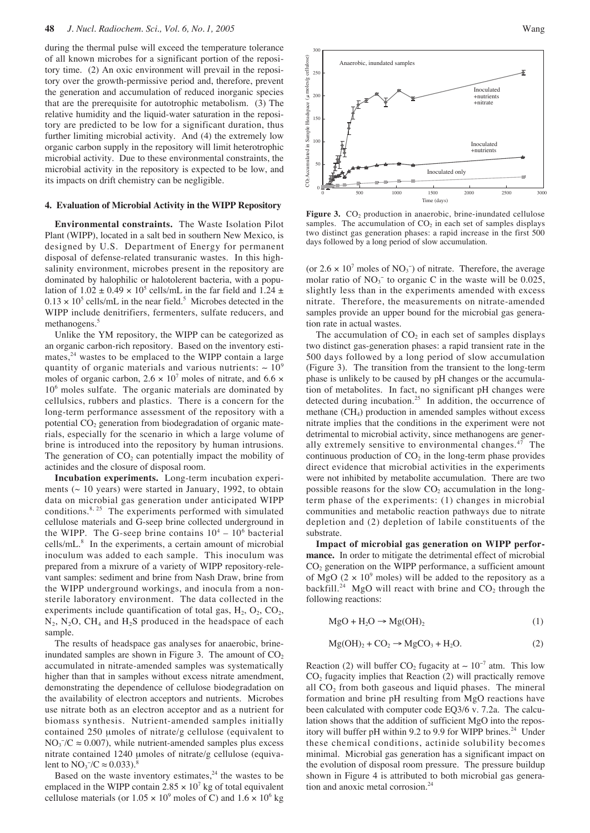during the thermal pulse will exceed the temperature tolerance of all known microbes for a significant portion of the repository time. (2) An oxic environment will prevail in the repository over the growth-permissive period and, therefore, prevent the generation and accumulation of reduced inorganic species that are the prerequisite for autotrophic metabolism. (3) The relative humidity and the liquid-water saturation in the repository are predicted to be low for a significant duration, thus further limiting microbial activity. And (4) the extremely low organic carbon supply in the repository will limit heterotrophic microbial activity. Due to these environmental constraints, the microbial activity in the repository is expected to be low, and its impacts on drift chemistry can be negligible.

#### **4. Evaluation of Microbial Activity in the WIPP Repository**

**Environmental constraints.** The Waste Isolation Pilot Plant (WIPP), located in a salt bed in southern New Mexico, is designed by U.S. Department of Energy for permanent disposal of defense-related transuranic wastes. In this highsalinity environment, microbes present in the repository are dominated by halophilic or halotolerent bacteria, with a population of  $1.02 \pm 0.49 \times 10^5$  cells/mL in the far field and  $1.24 \pm 1.24$  $0.13 \times 10^5$  cells/mL in the near field.<sup>5</sup> Microbes detected in the WIPP include denitrifiers, fermenters, sulfate reducers, and methanogens.<sup>5</sup>

Unlike the YM repository, the WIPP can be categorized as an organic carbon-rich repository. Based on the inventory estimates,<sup>24</sup> wastes to be emplaced to the WIPP contain a large quantity of organic materials and various nutrients:  $~10<sup>9</sup>$ moles of organic carbon,  $2.6 \times 10^7$  moles of nitrate, and  $6.6 \times$ 10<sup>6</sup> moles sulfate. The organic materials are dominated by cellulsics, rubbers and plastics. There is a concern for the long-term performance assessment of the repository with a potential  $CO<sub>2</sub>$  generation from biodegradation of organic materials, especially for the scenario in which a large volume of brine is introduced into the repository by human intrusions. The generation of  $CO<sub>2</sub>$  can potentially impact the mobility of actinides and the closure of disposal room.

**Incubation experiments.** Long-term incubation experiments  $($   $\sim$  10 years) were started in January, 1992, to obtain data on microbial gas generation under anticipated WIPP conditions. $8, 25$  The experiments performed with simulated cellulose materials and G-seep brine collected underground in the WIPP. The G-seep brine contains  $10^4 - 10^6$  bacterial cells/mL.<sup>8</sup> In the experiments, a certain amount of microbial inoculum was added to each sample. This inoculum was prepared from a mixrure of a variety of WIPP repository-relevant samples: sediment and brine from Nash Draw, brine from the WIPP underground workings, and inocula from a nonsterile laboratory environment. The data collected in the experiments include quantification of total gas,  $H_2$ ,  $O_2$ ,  $CO_2$ ,  $N_2$ ,  $N_2O$ , CH<sub>4</sub> and H<sub>2</sub>S produced in the headspace of each sample.

The results of headspace gas analyses for anaerobic, brineinundated samples are shown in Figure 3. The amount of  $CO<sub>2</sub>$ accumulated in nitrate-amended samples was systematically higher than that in samples without excess nitrate amendment, demonstrating the dependence of cellulose biodegradation on the availability of electron acceptors and nutrients. Microbes use nitrate both as an electron acceptor and as a nutrient for biomass synthesis. Nutrient-amended samples initially contained 250 µmoles of nitrate/g cellulose (equivalent to  $NO<sub>3</sub><sup>-</sup>/C \approx 0.007$ ), while nutrient-amended samples plus excess nitrate contained 1240 µmoles of nitrate/g cellulose (equivalent to  $NO_3^-/C \approx 0.033$ ).<sup>8</sup>

Based on the waste inventory estimates, $24$  the wastes to be emplaced in the WIPP contain  $2.85 \times 10^7$  kg of total equivalent cellulose materials (or  $1.05 \times 10^9$  moles of C) and  $1.6 \times 10^6$  kg



CO2Accumulated in Sample Headspace ( moles/g cellulose)

Sample Headspace

Accumulated in

Ê

 $g_{\text{p}}$ umoles

0 0

500 1000 1500 2000 2500 3000 Time (days)

Figure 3. CO<sub>2</sub> production in anaerobic, brine-inundated cellulose samples. The accumulation of  $CO<sub>2</sub>$  in each set of samples displays two distinct gas generation phases: a rapid increase in the first 500 days followed by a long period of slow accumulation.

(or  $2.6 \times 10^7$  moles of NO<sub>3</sub><sup>-</sup>) of nitrate. Therefore, the average molar ratio of  $NO<sub>3</sub><sup>-</sup>$  to organic C in the waste will be 0.025, slightly less than in the experiments amended with excess nitrate. Therefore, the measurements on nitrate-amended samples provide an upper bound for the microbial gas generation rate in actual wastes.

The accumulation of  $CO<sub>2</sub>$  in each set of samples displays two distinct gas-generation phases: a rapid transient rate in the 500 days followed by a long period of slow accumulation (Figure 3). The transition from the transient to the long-term phase is unlikely to be caused by pH changes or the accumulation of metabolites. In fact, no significant pH changes were detected during incubation.<sup>25</sup> In addition, the occurrence of methane (CH4) production in amended samples without excess nitrate implies that the conditions in the experiment were not detrimental to microbial activity, since methanogens are generally extremely sensitive to environmental changes.<sup>47</sup> The continuous production of  $CO<sub>2</sub>$  in the long-term phase provides direct evidence that microbial activities in the experiments were not inhibited by metabolite accumulation. There are two possible reasons for the slow  $CO<sub>2</sub>$  accumulation in the longterm phase of the experiments: (1) changes in microbial communities and metabolic reaction pathways due to nitrate depletion and (2) depletion of labile constituents of the substrate.

**Impact of microbial gas generation on WIPP performance.** In order to mitigate the detrimental effect of microbial  $CO<sub>2</sub>$  generation on the WIPP performance, a sufficient amount of MgO  $(2 \times 10^9$  moles) will be added to the repository as a backfill.<sup>24</sup> MgO will react with brine and  $CO<sub>2</sub>$  through the following reactions:

$$
MgO + H_2O \to Mg(OH)_2
$$
 (1)

$$
Mg(OH)_2 + CO_2 \rightarrow MgCO_3 + H_2O.
$$
 (2)

Reaction (2) will buffer  $CO_2$  fugacity at ~ 10<sup>-7</sup> atm. This low  $CO<sub>2</sub>$  fugacity implies that Reaction (2) will practically remove all  $CO<sub>2</sub>$  from both gaseous and liquid phases. The mineral formation and brine pH resulting from MgO reactions have been calculated with computer code EQ3/6 v. 7.2a. The calculation shows that the addition of sufficient MgO into the repository will buffer pH within 9.2 to 9.9 for WIPP brines.<sup>24</sup> Under these chemical conditions, actinide solubility becomes minimal. Microbial gas generation has a significant impact on the evolution of disposal room pressure. The pressure buildup shown in Figure 4 is attributed to both microbial gas generation and anoxic metal corrosion.<sup>24</sup>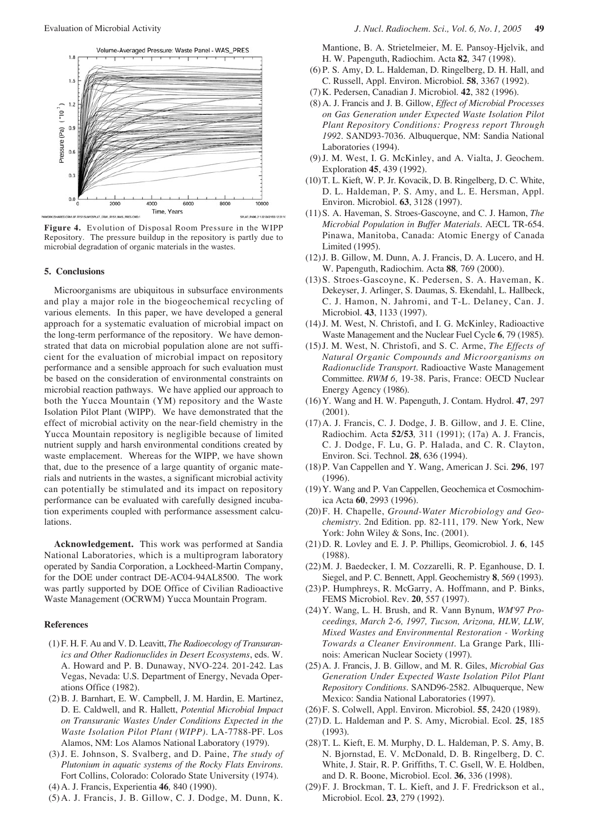

**Figure 4.** Evolution of Disposal Room Pressure in the WIPP Repository. The pressure buildup in the repository is partly due to microbial degradation of organic materials in the wastes.

#### **5. Conclusions**

Microorganisms are ubiquitous in subsurface environments and play a major role in the biogeochemical recycling of various elements. In this paper, we have developed a general approach for a systematic evaluation of microbial impact on the long-term performance of the repository. We have demonstrated that data on microbial population alone are not sufficient for the evaluation of microbial impact on repository performance and a sensible approach for such evaluation must be based on the consideration of environmental constraints on microbial reaction pathways. We have applied our approach to both the Yucca Mountain (YM) repository and the Waste Isolation Pilot Plant (WIPP). We have demonstrated that the effect of microbial activity on the near-field chemistry in the Yucca Mountain repository is negligible because of limited nutrient supply and harsh environmental conditions created by waste emplacement. Whereas for the WIPP, we have shown that, due to the presence of a large quantity of organic materials and nutrients in the wastes, a significant microbial activity can potentially be stimulated and its impact on repository performance can be evaluated with carefully designed incubation experiments coupled with performance assessment calculations.

**Acknowledgement.** This work was performed at Sandia National Laboratories, which is a multiprogram laboratory operated by Sandia Corporation, a Lockheed-Martin Company, for the DOE under contract DE-AC04-94AL8500. The work was partly supported by DOE Office of Civilian Radioactive Waste Management (OCRWM) Yucca Mountain Program.

#### **References**

- (1) F. H. F. Au and V. D. Leavitt, *The Radioecology of Transuranics and Other Radionuclides in Desert Ecosystems*, eds. W. A. Howard and P. B. Dunaway, NVO-224. 201-242. Las Vegas, Nevada: U.S. Department of Energy, Nevada Operations Office (1982).
- (2)B. J. Barnhart, E. W. Campbell, J. M. Hardin, E. Martinez, D. E. Caldwell, and R. Hallett, *Potential Microbial Impact on Transuranic Wastes Under Conditions Expected in the Waste Isolation Pilot Plant (WIPP).* LA-7788-PF. Los Alamos, NM: Los Alamos National Laboratory (1979).
- (3)J. E. Johnson, S. Svalberg, and D. Paine, *The study of Plutonium in aquatic systems of the Rocky Flats Environs.* Fort Collins, Colorado: Colorado State University (1974).
- (4) A. J. Francis, Experientia **46***,* 840 (1990).
- (5) A. J. Francis, J. B. Gillow, C. J. Dodge, M. Dunn, K.

Mantione, B. A. Strietelmeier, M. E. Pansoy-Hjelvik, and H. W. Papenguth, Radiochim. Acta **82***,* 347 (1998).

- (6) P. S. Amy, D. L. Haldeman, D. Ringelberg, D. H. Hall, and C. Russell, Appl. Environ. Microbiol. **58**, 3367 (1992).
- (7) K. Pedersen, Canadian J. Microbiol. **42**, 382 (1996).
- (8) A. J. Francis and J. B. Gillow, *Effect of Microbial Processes on Gas Generation under Expected Waste Isolation Pilot Plant Repository Conditions: Progress report Through 1992*. SAND93-7036. Albuquerque, NM: Sandia National Laboratories (1994).
- (9)J. M. West, I. G. McKinley, and A. Vialta, J. Geochem. Exploration **45**, 439 (1992).
- (10)T. L. Kieft, W. P. Jr. Kovacik, D. B. Ringelberg, D. C. White, D. L. Haldeman, P. S. Amy, and L. E. Hersman, Appl. Environ. Microbiol. **63**, 3128 (1997).
- (11)S. A. Haveman, S. Stroes-Gascoyne, and C. J. Hamon, *The Microbial Population in Buffer Materials.* AECL TR-654. Pinawa, Manitoba, Canada: Atomic Energy of Canada Limited (1995).
- (12)J. B. Gillow, M. Dunn, A. J. Francis, D. A. Lucero, and H. W. Papenguth, Radiochim. Acta **88***,* 769 (2000).
- (13)S. Stroes-Gascoyne, K. Pedersen, S. A. Haveman, K. Dekeyser, J. Arlinger, S. Daumas, S. Ekendahl, L. Hallbeck, C. J. Hamon, N. Jahromi, and T-L. Delaney, Can. J. Microbiol. **43**, 1133 (1997).
- (14)J. M. West, N. Christofi, and I. G. McKinley, Radioactive Waste Management and the Nuclear Fuel Cycle **6**, 79 (1985).
- (15)J. M. West, N. Christofi, and S. C. Arme, *The Effects of Natural Organic Compounds and Microorganisms on Radionuclide Transport.* Radioactive Waste Management Committee. *RWM 6,* 19-38. Paris, France: OECD Nuclear Energy Agency (1986).
- (16)Y. Wang and H. W. Papenguth, J. Contam. Hydrol. **47**, 297 (2001).
- (17)A. J. Francis, C. J. Dodge, J. B. Gillow, and J. E. Cline, Radiochim. Acta **52/53***,* 311 (1991); (17a) A. J. Francis, C. J. Dodge, F. Lu, G. P. Halada, and C. R. Clayton, Environ. Sci. Technol. **28**, 636 (1994).
- (18)P. Van Cappellen and Y. Wang, American J. Sci. **296**, 197  $(1996)$
- (19)Y. Wang and P. Van Cappellen, Geochemica et Cosmochimica Acta **60**, 2993 (1996).
- (20)F. H. Chapelle, *Ground-Water Microbiology and Geochemistry.* 2nd Edition. pp. 82-111, 179. New York, New York: John Wiley & Sons, Inc. (2001).
- (21)D. R. Lovley and E. J. P. Phillips, Geomicrobiol. J. **6**, 145 (1988).
- (22)M. J. Baedecker, I. M. Cozzarelli, R. P. Eganhouse, D. I. Siegel, and P. C. Bennett, Appl. Geochemistry **8**, 569 (1993).
- (23)P. Humphreys, R. McGarry, A. Hoffmann, and P. Binks, FEMS Microbiol. Rev. **20**, 557 (1997).
- (24)Y. Wang, L. H. Brush, and R. Vann Bynum, *WM'97 Proceedings, March 2-6, 1997, Tucson, Arizona, HLW, LLW, Mixed Wastes and Environmental Restoration - Working Towards a Cleaner Environment.* La Grange Park, Illinois: American Nuclear Society (1997).
- (25)A. J. Francis, J. B. Gillow, and M. R. Giles, *Microbial Gas Generation Under Expected Waste Isolation Pilot Plant Repository Conditions.* SAND96-2582. Albuquerque, New Mexico: Sandia National Laboratories (1997).
- (26)F. S. Colwell, Appl. Environ. Microbiol. **55**, 2420 (1989).
- (27)D. L. Haldeman and P. S. Amy, Microbial. Ecol. **25**, 185 (1993).
- (28)T. L. Kieft, E. M. Murphy, D. L. Haldeman, P. S. Amy, B. N. Bjornstad, E. V. McDonald, D. B. Ringelberg, D. C. White, J. Stair, R. P. Griffiths, T. C. Gsell, W. E. Holdben, and D. R. Boone, Microbiol. Ecol. **36**, 336 (1998).
- (29)F. J. Brockman, T. L. Kieft, and J. F. Fredrickson et al., Microbiol. Ecol. **23**, 279 (1992).